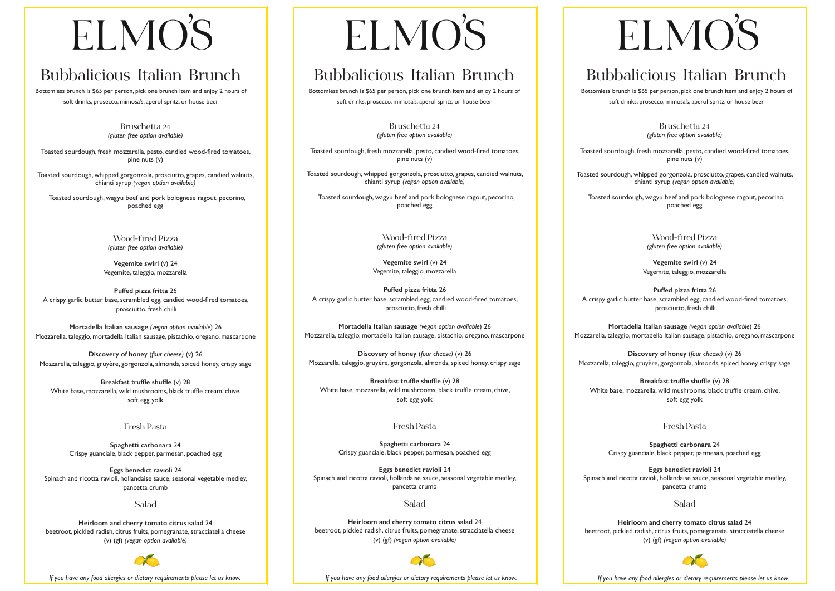# ELMO'S

# **Bubbalicious Italian Brunch**

Bottomless brunch is \$65 per person, pick one brunch item and enjoy 2 hours of soft drinks, prosecco, mimosa's, aperol spritz, or house beer

> **Bruschetta 24**  *(gluten free option available)*

Toasted sourdough, fresh mozzarella, pesto, candied wood-fired tomatoes, pine nuts (v)

Toasted sourdough, whipped gorgonzola, prosciutto, grapes, candied walnuts, chianti syrup *(vegan option available)*

 Toasted sourdough, wagyu beef and pork bolognese ragout, pecorino, poached egg

> **Wood-fired Pizza**  *(gluten free option available)*

**Vegemite swirl** (v) 24 Vegemite, taleggio, mozzarella

**Puffed pizza fritta** 26 A crispy garlic butter base, scrambled egg, candied wood-fired tomatoes, prosciutto, fresh chilli

**Mortadella Italian sausage** *(vegan option available*) 26 Mozzarella, taleggio, mortadella Italian sausage, pistachio, oregano, mascarpone

**Discovery of honey** (*four cheese)* (v) 26 Mozzarella, taleggio, gruyère, gorgonzola, almonds, spiced honey, crispy sage

**Breakfast truffle shuffle** (v) 28 White base, mozzarella, wild mushrooms, black truffle cream, chive, soft egg yolk

### **Fresh Pasta**

**Spaghetti carbonara** 24 Crispy guanciale, black pepper, parmesan, poached egg

**Eggs benedict ravioli** 24 Spinach and ricotta ravioli, hollandaise sauce, seasonal vegetable medley, pancetta crumb

## **Salad**

**Heirloom and cherry tomato citrus salad** 24 beetroot, pickled radish, citrus fruits, pomegranate, stracciatella cheese (v) (gf) *(vegan option available)*



 *If you have any food allergies or dietary requirements please let us know.*